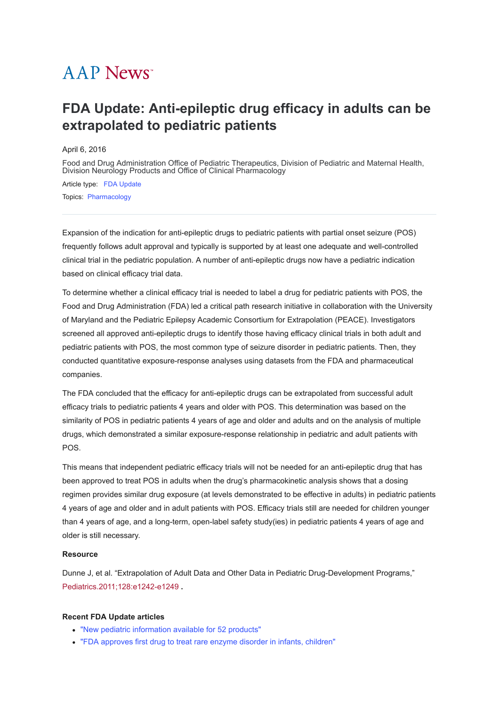## **AAP News**<sup>\*</sup>

## **FDA Update: Anti-epileptic drug efficacy in adults can be extrapolated to pediatric patients**

April 6, 2016

[Food and Drug Administration Office of Pediatric Therapeutics, Division of Pediatric and Maternal Health,](javascript:;) Division Neurology Products and Office of Clinical Pharmacology

Article type: [FDA Update](https://publications.aap.org/aapnews/search-results?f_ArticleTypeDisplayName=FDA+Update&fl_SiteID=1000011) Topics: [Pharmacology](https://publications.aap.org/aapnews/search-results?f_FacetCategoryIDs_1=202&fl_SiteID=1000011)

Expansion of the indication for anti-epileptic drugs to pediatric patients with partial onset seizure (POS) frequently follows adult approval and typically is supported by at least one adequate and well-controlled clinical trial in the pediatric population. A number of anti-epileptic drugs now have a pediatric indication based on clinical efficacy trial data.

To determine whether a clinical efficacy trial is needed to label a drug for pediatric patients with POS, the Food and Drug Administration (FDA) led a critical path research initiative in collaboration with the University of Maryland and the Pediatric Epilepsy Academic Consortium for Extrapolation (PEACE). Investigators screened all approved anti-epileptic drugs to identify those having efficacy clinical trials in both adult and pediatric patients with POS, the most common type of seizure disorder in pediatric patients. Then, they conducted quantitative exposure-response analyses using datasets from the FDA and pharmaceutical companies.

The FDA concluded that the efficacy for anti-epileptic drugs can be extrapolated from successful adult efficacy trials to pediatric patients 4 years and older with POS. This determination was based on the similarity of POS in pediatric patients 4 years of age and older and adults and on the analysis of multiple drugs, which demonstrated a similar exposure-response relationship in pediatric and adult patients with POS.

This means that independent pediatric efficacy trials will not be needed for an anti-epileptic drug that has been approved to treat POS in adults when the drug's pharmacokinetic analysis shows that a dosing regimen provides similar drug exposure (at levels demonstrated to be effective in adults) in pediatric patients 4 years of age and older and in adult patients with POS. Efficacy trials still are needed for children younger than 4 years of age, and a long-term, open-label safety study(ies) in pediatric patients 4 years of age and older is still necessary.

## **Resource**

Dunne J, et al. "Extrapolation of Adult Data and Other Data in Pediatric Drug-Development Programs," [Pediatrics.2011;128:e1242-e1249](http://pediatrics.aappublications.org/content/early/2011/10/20/peds.2010-3487) **.**

## **Recent FDA Update articles**

- ["New pediatric information available for 52 products"](http://www.aappublications.org/news/2016/03/10/Labeling031016)
- ["FDA approves first drug to treat rare enzyme disorder in infants, children"](http://www.aappublications.org/news/2016/02/10/FDAUpdate021016)